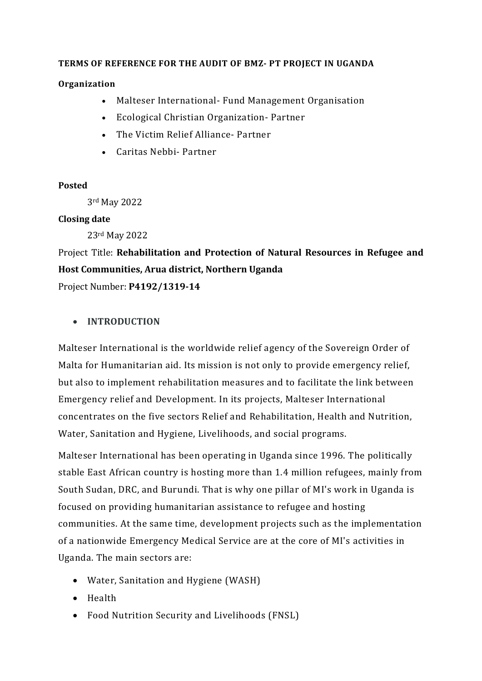#### **TERMS OF REFERENCE FOR THE AUDIT OF BMZ- PT PROJECT IN UGANDA**

#### **Organization**

- Malteser International- Fund Management Organisation
- Ecological Christian Organization- Partner
- The Victim Relief Alliance- Partner
- Caritas Nebbi- Partner

#### **Posted**

3rd May 2022

#### **Closing date**

23rd May 2022

# Project Title: **Rehabilitation and Protection of Natural Resources in Refugee and Host Communities, Arua district, Northern Uganda**

Project Number: **P4192/1319-14**

#### • **INTRODUCTION**

Malteser International is the worldwide relief agency of the Sovereign Order of Malta for Humanitarian aid. Its mission is not only to provide emergency relief, but also to implement rehabilitation measures and to facilitate the link between Emergency relief and Development. In its projects, Malteser International concentrates on the five sectors Relief and Rehabilitation, Health and Nutrition, Water, Sanitation and Hygiene, Livelihoods, and social programs.

Malteser International has been operating in Uganda since 1996. The politically stable East African country is hosting more than 1.4 million refugees, mainly from South Sudan, DRC, and Burundi. That is why one pillar of MI's work in Uganda is focused on providing humanitarian assistance to refugee and hosting communities. At the same time, development projects such as the implementation of a nationwide Emergency Medical Service are at the core of MI's activities in Uganda. The main sectors are:

- Water, Sanitation and Hygiene (WASH)
- Health
- Food Nutrition Security and Livelihoods (FNSL)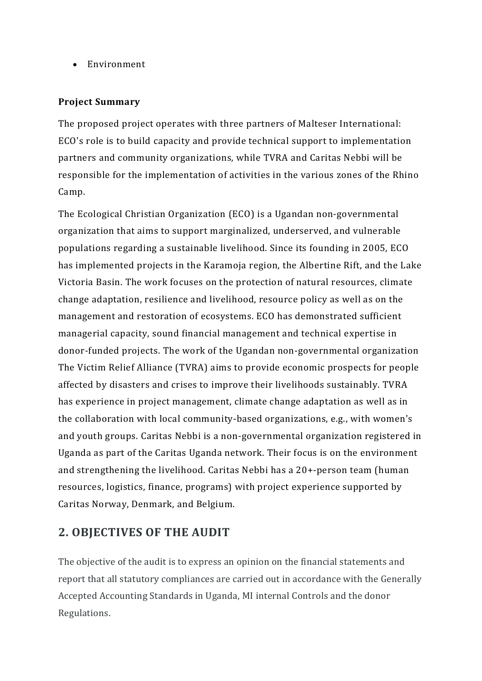• Environment

#### **Project Summary**

The proposed project operates with three partners of Malteser International: ECO's role is to build capacity and provide technical support to implementation partners and community organizations, while TVRA and Caritas Nebbi will be responsible for the implementation of activities in the various zones of the Rhino Camp.

The Ecological Christian Organization (ECO) is a Ugandan non-governmental organization that aims to support marginalized, underserved, and vulnerable populations regarding a sustainable livelihood. Since its founding in 2005, ECO has implemented projects in the Karamoja region, the Albertine Rift, and the Lake Victoria Basin. The work focuses on the protection of natural resources, climate change adaptation, resilience and livelihood, resource policy as well as on the management and restoration of ecosystems. ECO has demonstrated sufficient managerial capacity, sound financial management and technical expertise in donor-funded projects. The work of the Ugandan non-governmental organization The Victim Relief Alliance (TVRA) aims to provide economic prospects for people affected by disasters and crises to improve their livelihoods sustainably. TVRA has experience in project management, climate change adaptation as well as in the collaboration with local community-based organizations, e.g., with women's and youth groups. Caritas Nebbi is a non-governmental organization registered in Uganda as part of the Caritas Uganda network. Their focus is on the environment and strengthening the livelihood. Caritas Nebbi has a 20+-person team (human resources, logistics, finance, programs) with project experience supported by Caritas Norway, Denmark, and Belgium.

### **2. OBJECTIVES OF THE AUDIT**

The objective of the audit is to express an opinion on the financial statements and report that all statutory compliances are carried out in accordance with the Generally Accepted Accounting Standards in Uganda, MI internal Controls and the donor Regulations.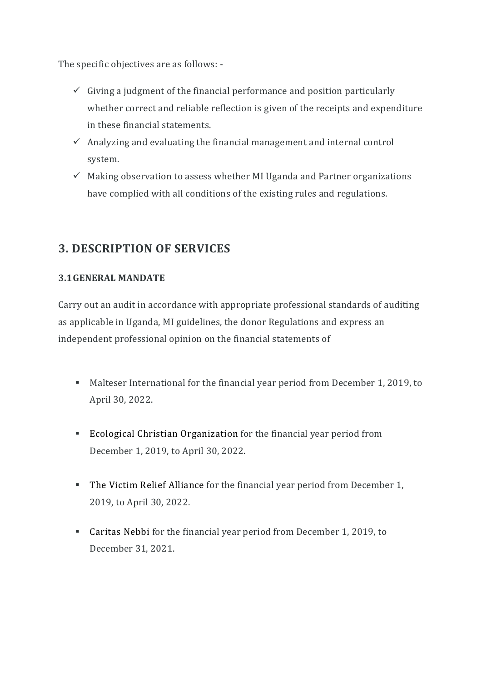The specific objectives are as follows: -

- $\checkmark$  Giving a judgment of the financial performance and position particularly whether correct and reliable reflection is given of the receipts and expenditure in these financial statements.
- $\checkmark$  Analyzing and evaluating the financial management and internal control system.
- $\checkmark$  Making observation to assess whether MI Uganda and Partner organizations have complied with all conditions of the existing rules and regulations.

# **3. DESCRIPTION OF SERVICES**

#### **3.1GENERAL MANDATE**

Carry out an audit in accordance with appropriate professional standards of auditing as applicable in Uganda, MI guidelines, the donor Regulations and express an independent professional opinion on the financial statements of

- Malteser International for the financial year period from December 1, 2019, to April 30, 2022.
- Ecological Christian Organization for the financial year period from December 1, 2019, to April 30, 2022.
- The Victim Relief Alliance for the financial year period from December 1, 2019, to April 30, 2022.
- Caritas Nebbi for the financial year period from December 1, 2019, to December 31, 2021.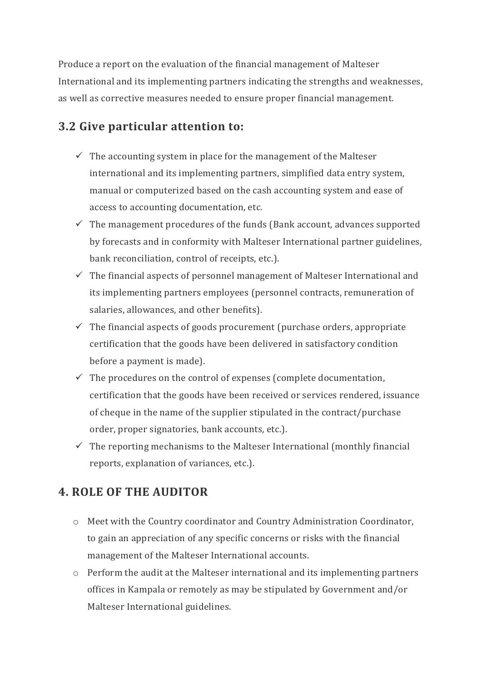Produce a report on the evaluation of the financial management of Malteser International and its implementing partners indicating the strengths and weaknesses, as well as corrective measures needed to ensure proper financial management.

### **3.2 Give particular attention to:**

- $\checkmark$  The accounting system in place for the management of the Malteser international and its implementing partners, simplified data entry system, manual or computerized based on the cash accounting system and ease of access to accounting documentation, etc.
- $\checkmark$  The management procedures of the funds (Bank account, advances supported by forecasts and in conformity with Malteser International partner guidelines, bank reconciliation, control of receipts, etc.).
- $\checkmark$  The financial aspects of personnel management of Malteser International and its implementing partners employees (personnel contracts, remuneration of salaries, allowances, and other benefits).
- $\checkmark$  The financial aspects of goods procurement (purchase orders, appropriate certification that the goods have been delivered in satisfactory condition before a payment is made).
- $\checkmark$  The procedures on the control of expenses (complete documentation, certification that the goods have been received or services rendered, issuance of cheque in the name of the supplier stipulated in the contract/purchase order, proper signatories, bank accounts, etc.).
- $\checkmark$  The reporting mechanisms to the Malteser International (monthly financial reports, explanation of variances, etc.).

### **4. ROLE OF THE AUDITOR**

- o Meet with the Country coordinator and Country Administration Coordinator, to gain an appreciation of any specific concerns or risks with the financial management of the Malteser International accounts.
- $\circ$  Perform the audit at the Malteser international and its implementing partners offices in Kampala or remotely as may be stipulated by Government and/or Malteser International guidelines.